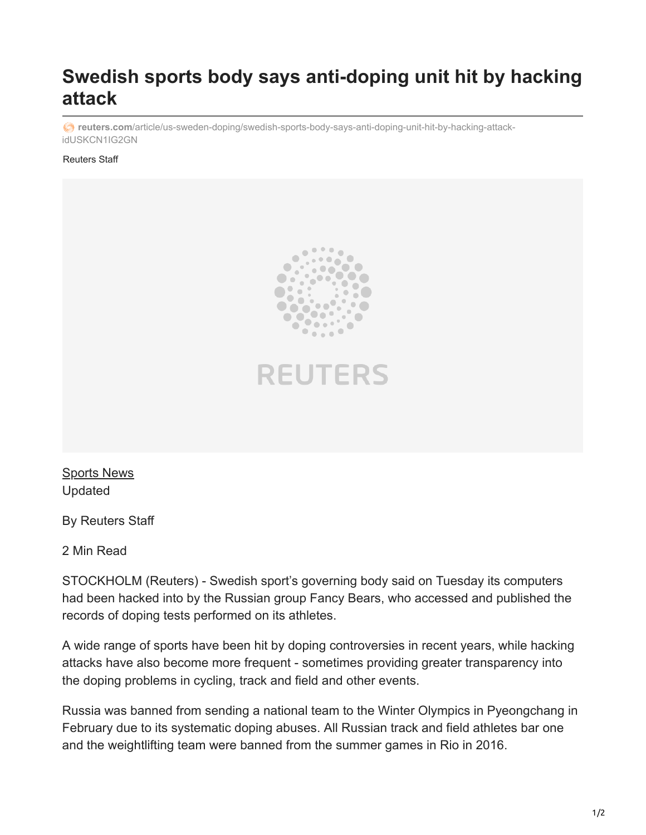## **Swedish sports body says anti-doping unit hit by hacking attack**

*c* reuters.com[/article/us-sweden-doping/swedish-sports-body-says-anti-doping-unit-hit-by-hacking-attack](https://www.reuters.com/article/us-sweden-doping/swedish-sports-body-says-anti-doping-unit-hit-by-hacking-attack-idUSKCN1IG2GN)idUSKCN1IG2GN

## Reuters Staff





[Sports News](https://www.reuters.com/news/archive/sportsNews) Updated

By Reuters Staff

2 Min Read

STOCKHOLM (Reuters) - Swedish sport's governing body said on Tuesday its computers had been hacked into by the Russian group Fancy Bears, who accessed and published the records of doping tests performed on its athletes.

A wide range of sports have been hit by doping controversies in recent years, while hacking attacks have also become more frequent - sometimes providing greater transparency into the doping problems in cycling, track and field and other events.

Russia was banned from sending a national team to the Winter Olympics in Pyeongchang in February due to its systematic doping abuses. All Russian track and field athletes bar one and the weightlifting team were banned from the summer games in Rio in 2016.